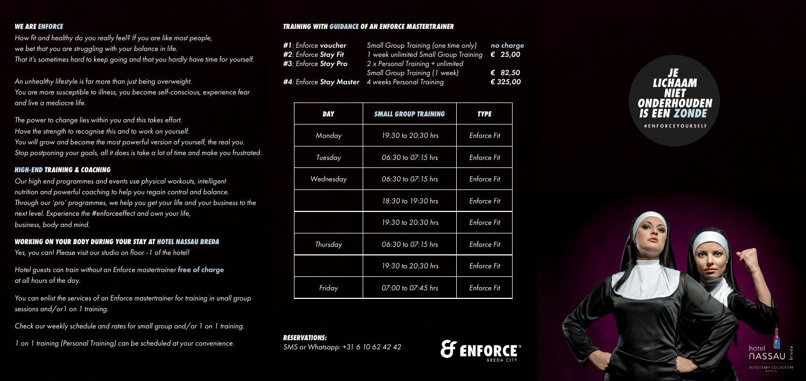#### *WE ARE ENFORCE*

*How fit and healthy do you really feel? If you are like most people, we bet that you are struggling with your balance in life. That it's sometimes hard to keep going and that you hardly have time for yourself.* 

*An unhealthy lifestyle is far more than just being overweight. You are more susceptible to illness, you become self-conscious, experience fear and live a mediocre life.*

*The power to change lies within you and this takes effort. Have the strength to recognise this and to work on yourself. You will grow and become the most powerful version of yourself, the real you. Stop postponing your goals, all it does is take a lot of time and make you frustrated.*

#### *HIGH-END TRAINING & COACHING*

*Our high end programmes and events use physical workouts, intelligent nutrition and powerful coaching to help you regain control and balance. Through our 'pro' programmes, we help you get your life and your business to the next level. Experience the #enforceeffect and own your life, business, body and mind.*

## *WORKING ON YOUR BODY DURING YOUR STAY AT HOTEL NASSAU BREDA*

*Yes, you can! Please visit our studio on floor -1 of the hotel!*

*Hotel guests can train without an Enforce mastertrainer free of charge at all hours of the day.*

*You can enlist the services of an Enforce mastertrainer for training in small group sessions and/or1 on 1 training.*

*Check our weekly schedule and rates for small group and/or 1 on 1 training.*

*1 on 1 training (Personal Training) can be scheduled at your convenience.*

#### *TRAINING WITH GUIDANCE OF AN ENFORCE MASTERTRAINER*

| #1: Enforce voucher  | Small Group Training (one time only)                             | no charge        |
|----------------------|------------------------------------------------------------------|------------------|
| #2: Enforce Stay Fit | 1 week unlimited Small Group Training                            | $\epsilon$ 25,00 |
| #3: Enforce Stay Pro | 2 x Personal Training + unlimited                                |                  |
|                      | <b>Small Group Training (1 week)</b>                             | € 82,50          |
|                      | <b>#4</b> : Enforce <b>Stay Master</b> 4 weeks Personal Training | € 325,00         |

| <b>DAY</b> | <b>SMALL GROUP TRAINING</b> | <b>TYPE</b>        |
|------------|-----------------------------|--------------------|
| Monday     | 19:30 to 20:30 hrs          | <b>Enforce Fit</b> |
| Tuesday    | 06:30 to 07:15 hrs          | <b>Enforce Fit</b> |
| Wednesday  | 06:30 to 07:15 hrs          | <b>Enforce Fit</b> |
|            | 18:30 to 19:30 hrs          | <b>Enforce Fit</b> |
|            | 19:30 to 20:30 hrs          | <b>Enforce Fit</b> |
| Thursday   | 06:30 to 07:15 hrs          | <b>Enforce Fit</b> |
|            | 19:30 to 20:30 hrs          | <b>Enforce Fit</b> |
| Friday     | 07:00 to 07:45 hrs          | <b>Enforce Fit</b> |

*RESERVATIONS: SMS or Whatsapp: +31 6 10 62 42 42*





#ENFORCEYOURSELF



AUTOGRAPH COLLECTION'